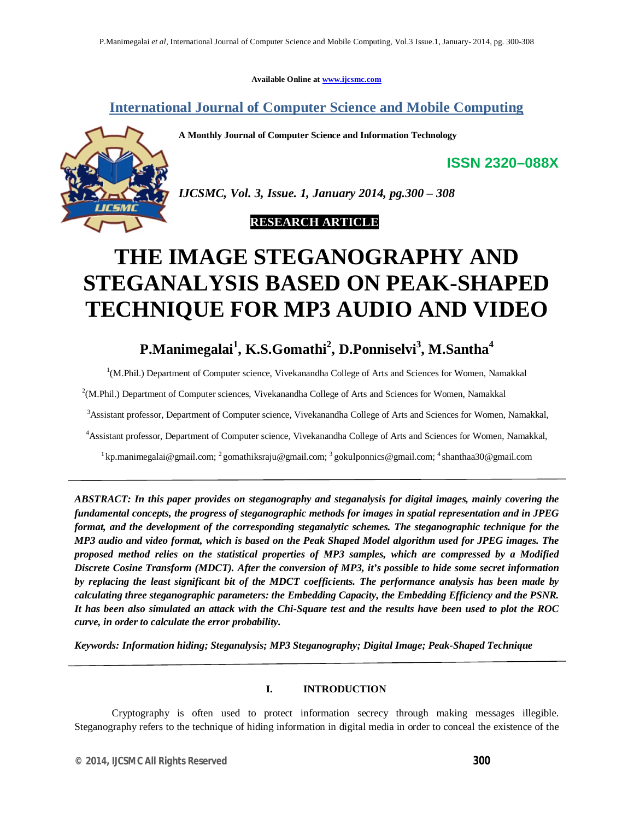**Available Online at www.ijcsmc.com**

**International Journal of Computer Science and Mobile Computing**

**A Monthly Journal of Computer Science and Information Technology**



*IJCSMC, Vol. 3, Issue. 1, January 2014, pg.300 – 308*

 **RESEARCH ARTICLE**

# **THE IMAGE STEGANOGRAPHY AND STEGANALYSIS BASED ON PEAK-SHAPED TECHNIQUE FOR MP3 AUDIO AND VIDEO**

# **P.Manimegalai<sup>1</sup> , K.S.Gomathi<sup>2</sup> , D.Ponniselvi<sup>3</sup> , M.Santha<sup>4</sup>**

<sup>1</sup>(M.Phil.) Department of Computer science, Vivekanandha College of Arts and Sciences for Women, Namakkal

<sup>2</sup>(M.Phil.) Department of Computer sciences, Vivekanandha College of Arts and Sciences for Women, Namakkal

<sup>3</sup>Assistant professor, Department of Computer science, Vivekanandha College of Arts and Sciences for Women, Namakkal,

<sup>4</sup>Assistant professor, Department of Computer science, Vivekanandha College of Arts and Sciences for Women, Namakkal,

<sup>1</sup> kp.manimegalai@gmail.com; <sup>2</sup> gomathiksraju@gmail.com; <sup>3</sup> gokulponnics@gmail.com; <sup>4</sup> shanthaa30@gmail.com

*ABSTRACT: In this paper provides on steganography and steganalysis for digital images, mainly covering the fundamental concepts, the progress of steganographic methods for images in spatial representation and in JPEG format, and the development of the corresponding steganalytic schemes. The steganographic technique for the MP3 audio and video format, which is based on the Peak Shaped Model algorithm used for JPEG images. The proposed method relies on the statistical properties of MP3 samples, which are compressed by a Modified Discrete Cosine Transform (MDCT). After the conversion of MP3, it's possible to hide some secret information by replacing the least significant bit of the MDCT coefficients. The performance analysis has been made by calculating three steganographic parameters: the Embedding Capacity, the Embedding Efficiency and the PSNR. It has been also simulated an attack with the Chi-Square test and the results have been used to plot the ROC curve, in order to calculate the error probability.*

*Keywords: Information hiding; Steganalysis; MP3 Steganography; Digital Image; Peak-Shaped Technique*

# **I. INTRODUCTION**

Cryptography is often used to protect information secrecy through making messages illegible. Steganography refers to the technique of hiding information in digital media in order to conceal the existence of the

**ISSN 2320–088X**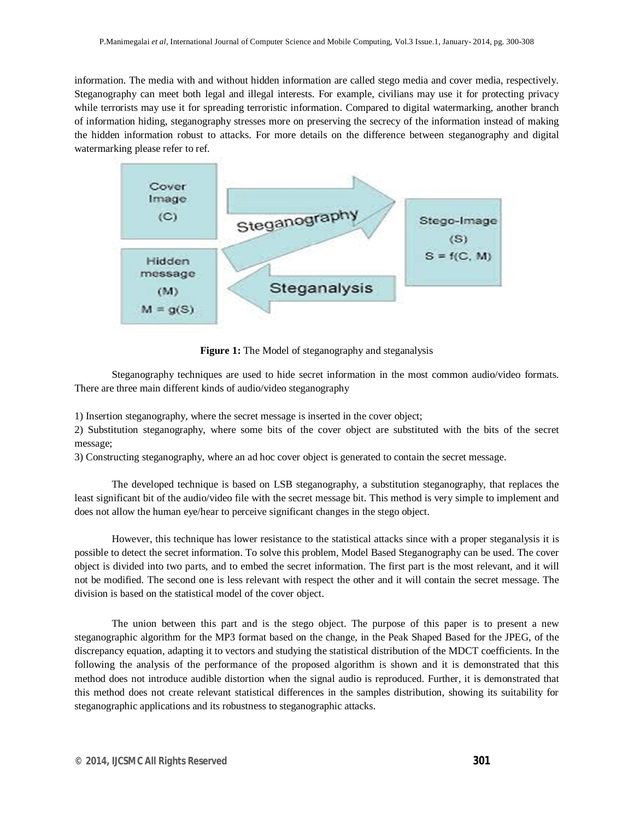information. The media with and without hidden information are called stego media and cover media, respectively. Steganography can meet both legal and illegal interests. For example, civilians may use it for protecting privacy while terrorists may use it for spreading terroristic information. Compared to digital watermarking, another branch of information hiding, steganography stresses more on preserving the secrecy of the information instead of making the hidden information robust to attacks. For more details on the difference between steganography and digital watermarking please refer to ref.



Figure 1: The Model of steganography and steganalysis

Steganography techniques are used to hide secret information in the most common audio/video formats. There are three main different kinds of audio/video steganography

1) Insertion steganography, where the secret message is inserted in the cover object;

2) Substitution steganography, where some bits of the cover object are substituted with the bits of the secret message;

3) Constructing steganography, where an ad hoc cover object is generated to contain the secret message.

The developed technique is based on LSB steganography, a substitution steganography, that replaces the least significant bit of the audio/video file with the secret message bit. This method is very simple to implement and does not allow the human eye/hear to perceive significant changes in the stego object.

However, this technique has lower resistance to the statistical attacks since with a proper steganalysis it is possible to detect the secret information. To solve this problem, Model Based Steganography can be used. The cover object is divided into two parts, and to embed the secret information. The first part is the most relevant, and it will not be modified. The second one is less relevant with respect the other and it will contain the secret message. The division is based on the statistical model of the cover object.

The union between this part and is the stego object. The purpose of this paper is to present a new steganographic algorithm for the MP3 format based on the change, in the Peak Shaped Based for the JPEG, of the discrepancy equation, adapting it to vectors and studying the statistical distribution of the MDCT coefficients. In the following the analysis of the performance of the proposed algorithm is shown and it is demonstrated that this method does not introduce audible distortion when the signal audio is reproduced. Further, it is demonstrated that this method does not create relevant statistical differences in the samples distribution, showing its suitability for steganographic applications and its robustness to steganographic attacks.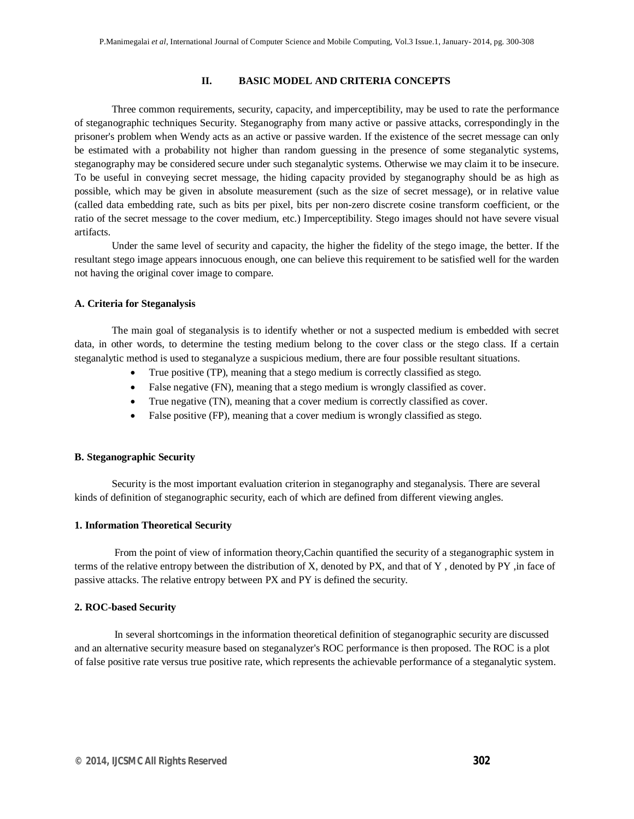# **II. BASIC MODEL AND CRITERIA CONCEPTS**

Three common requirements, security, capacity, and imperceptibility, may be used to rate the performance of steganographic techniques Security. Steganography from many active or passive attacks, correspondingly in the prisoner's problem when Wendy acts as an active or passive warden. If the existence of the secret message can only be estimated with a probability not higher than random guessing in the presence of some steganalytic systems, steganography may be considered secure under such steganalytic systems. Otherwise we may claim it to be insecure. To be useful in conveying secret message, the hiding capacity provided by steganography should be as high as possible, which may be given in absolute measurement (such as the size of secret message), or in relative value (called data embedding rate, such as bits per pixel, bits per non-zero discrete cosine transform coefficient, or the ratio of the secret message to the cover medium, etc.) Imperceptibility. Stego images should not have severe visual artifacts.

Under the same level of security and capacity, the higher the fidelity of the stego image, the better. If the resultant stego image appears innocuous enough, one can believe this requirement to be satisfied well for the warden not having the original cover image to compare.

### **A. Criteria for Steganalysis**

The main goal of steganalysis is to identify whether or not a suspected medium is embedded with secret data, in other words, to determine the testing medium belong to the cover class or the stego class. If a certain steganalytic method is used to steganalyze a suspicious medium, there are four possible resultant situations.

- True positive (TP), meaning that a stego medium is correctly classified as stego.
- False negative (FN), meaning that a stego medium is wrongly classified as cover.
- True negative (TN), meaning that a cover medium is correctly classified as cover.
- False positive (FP), meaning that a cover medium is wrongly classified as stego.

#### **B. Steganographic Security**

Security is the most important evaluation criterion in steganography and steganalysis. There are several kinds of definition of steganographic security, each of which are defined from different viewing angles.

#### **1. Information Theoretical Security**

From the point of view of information theory,Cachin quantified the security of a steganographic system in terms of the relative entropy between the distribution of X, denoted by PX, and that of Y , denoted by PY ,in face of passive attacks. The relative entropy between PX and PY is defined the security.

# **2. ROC-based Security**

In several shortcomings in the information theoretical definition of steganographic security are discussed and an alternative security measure based on steganalyzer's ROC performance is then proposed. The ROC is a plot of false positive rate versus true positive rate, which represents the achievable performance of a steganalytic system.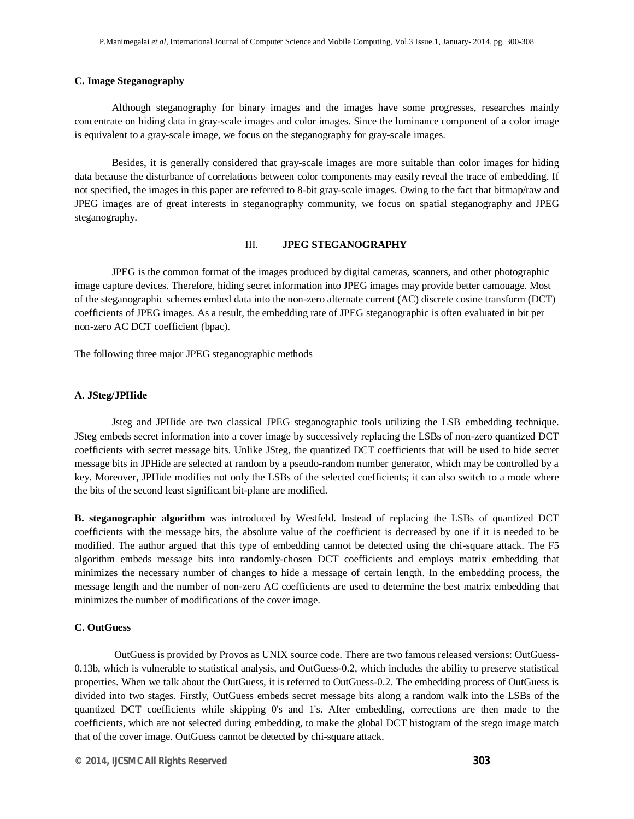# **C. Image Steganography**

Although steganography for binary images and the images have some progresses, researches mainly concentrate on hiding data in gray-scale images and color images. Since the luminance component of a color image is equivalent to a gray-scale image, we focus on the steganography for gray-scale images.

Besides, it is generally considered that gray-scale images are more suitable than color images for hiding data because the disturbance of correlations between color components may easily reveal the trace of embedding. If not specified, the images in this paper are referred to 8-bit gray-scale images. Owing to the fact that bitmap/raw and JPEG images are of great interests in steganography community, we focus on spatial steganography and JPEG steganography.

# III. **JPEG STEGANOGRAPHY**

JPEG is the common format of the images produced by digital cameras, scanners, and other photographic image capture devices. Therefore, hiding secret information into JPEG images may provide better camouage. Most of the steganographic schemes embed data into the non-zero alternate current (AC) discrete cosine transform (DCT) coefficients of JPEG images. As a result, the embedding rate of JPEG steganographic is often evaluated in bit per non-zero AC DCT coefficient (bpac).

The following three major JPEG steganographic methods

#### **A. JSteg/JPHide**

Jsteg and JPHide are two classical JPEG steganographic tools utilizing the LSB embedding technique. JSteg embeds secret information into a cover image by successively replacing the LSBs of non-zero quantized DCT coefficients with secret message bits. Unlike JSteg, the quantized DCT coefficients that will be used to hide secret message bits in JPHide are selected at random by a pseudo-random number generator, which may be controlled by a key. Moreover, JPHide modifies not only the LSBs of the selected coefficients; it can also switch to a mode where the bits of the second least significant bit-plane are modified.

**B. steganographic algorithm** was introduced by Westfeld. Instead of replacing the LSBs of quantized DCT coefficients with the message bits, the absolute value of the coefficient is decreased by one if it is needed to be modified. The author argued that this type of embedding cannot be detected using the chi-square attack. The F5 algorithm embeds message bits into randomly-chosen DCT coefficients and employs matrix embedding that minimizes the necessary number of changes to hide a message of certain length. In the embedding process, the message length and the number of non-zero AC coefficients are used to determine the best matrix embedding that minimizes the number of modifications of the cover image.

#### **C. OutGuess**

OutGuess is provided by Provos as UNIX source code. There are two famous released versions: OutGuess-0.13b, which is vulnerable to statistical analysis, and OutGuess-0.2, which includes the ability to preserve statistical properties. When we talk about the OutGuess, it is referred to OutGuess-0.2. The embedding process of OutGuess is divided into two stages. Firstly, OutGuess embeds secret message bits along a random walk into the LSBs of the quantized DCT coefficients while skipping 0's and 1's. After embedding, corrections are then made to the coefficients, which are not selected during embedding, to make the global DCT histogram of the stego image match that of the cover image. OutGuess cannot be detected by chi-square attack.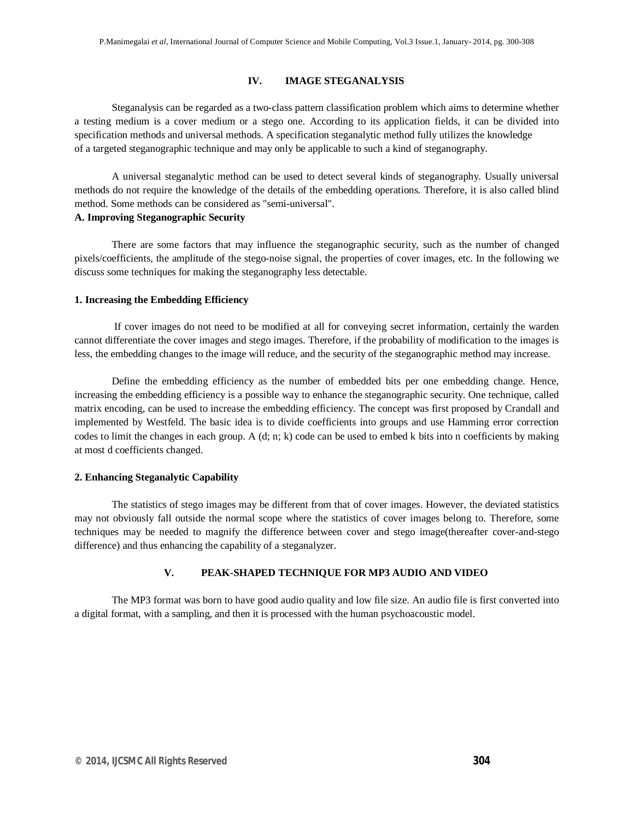# **IV. IMAGE STEGANALYSIS**

Steganalysis can be regarded as a two-class pattern classification problem which aims to determine whether a testing medium is a cover medium or a stego one. According to its application fields, it can be divided into specification methods and universal methods. A specification steganalytic method fully utilizes the knowledge of a targeted steganographic technique and may only be applicable to such a kind of steganography.

A universal steganalytic method can be used to detect several kinds of steganography. Usually universal methods do not require the knowledge of the details of the embedding operations. Therefore, it is also called blind method. Some methods can be considered as "semi-universal".

# **A. Improving Steganographic Security**

There are some factors that may influence the steganographic security, such as the number of changed pixels/coefficients, the amplitude of the stego-noise signal, the properties of cover images, etc. In the following we discuss some techniques for making the steganography less detectable.

#### **1. Increasing the Embedding Efficiency**

If cover images do not need to be modified at all for conveying secret information, certainly the warden cannot differentiate the cover images and stego images. Therefore, if the probability of modification to the images is less, the embedding changes to the image will reduce, and the security of the steganographic method may increase.

Define the embedding efficiency as the number of embedded bits per one embedding change. Hence, increasing the embedding efficiency is a possible way to enhance the steganographic security. One technique, called matrix encoding, can be used to increase the embedding efficiency. The concept was first proposed by Crandall and implemented by Westfeld. The basic idea is to divide coefficients into groups and use Hamming error correction codes to limit the changes in each group. A  $(d; n; k)$  code can be used to embed k bits into n coefficients by making at most d coefficients changed.

# **2. Enhancing Steganalytic Capability**

The statistics of stego images may be different from that of cover images. However, the deviated statistics may not obviously fall outside the normal scope where the statistics of cover images belong to. Therefore, some techniques may be needed to magnify the difference between cover and stego image(thereafter cover-and-stego difference) and thus enhancing the capability of a steganalyzer.

#### **V. PEAK-SHAPED TECHNIQUE FOR MP3 AUDIO AND VIDEO**

The MP3 format was born to have good audio quality and low file size. An audio file is first converted into a digital format, with a sampling, and then it is processed with the human psychoacoustic model.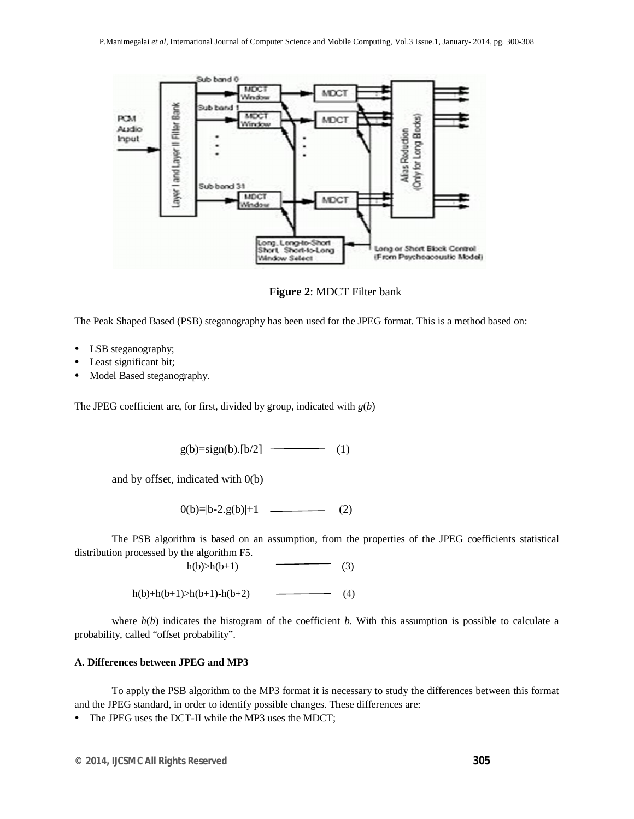

**Figure 2**: MDCT Filter bank

The Peak Shaped Based (PSB) steganography has been used for the JPEG format. This is a method based on:

- LSB steganography;
- Least significant bit;
- Model Based steganography.

The JPEG coefficient are, for first, divided by group, indicated with *g*(*b*)

 $g(b)=sign(b)$ .[b/2] (1)

and by offset, indicated with 0(b)

 $0(b)=|b-2.g(b)|+1$  (2)

The PSB algorithm is based on an assumption, from the properties of the JPEG coefficients statistical distribution processed by the algorithm F5.

 $h(b) > h(b+1)$  (3)

h(b)+h(b+1)>h(b+1)-h(b+2) (4)

where  $h(b)$  indicates the histogram of the coefficient  $b$ . With this assumption is possible to calculate a probability, called "offset probability".

# **A. Differences between JPEG and MP3**

To apply the PSB algorithm to the MP3 format it is necessary to study the differences between this format and the JPEG standard, in order to identify possible changes. These differences are:

• The JPEG uses the DCT-II while the MP3 uses the MDCT;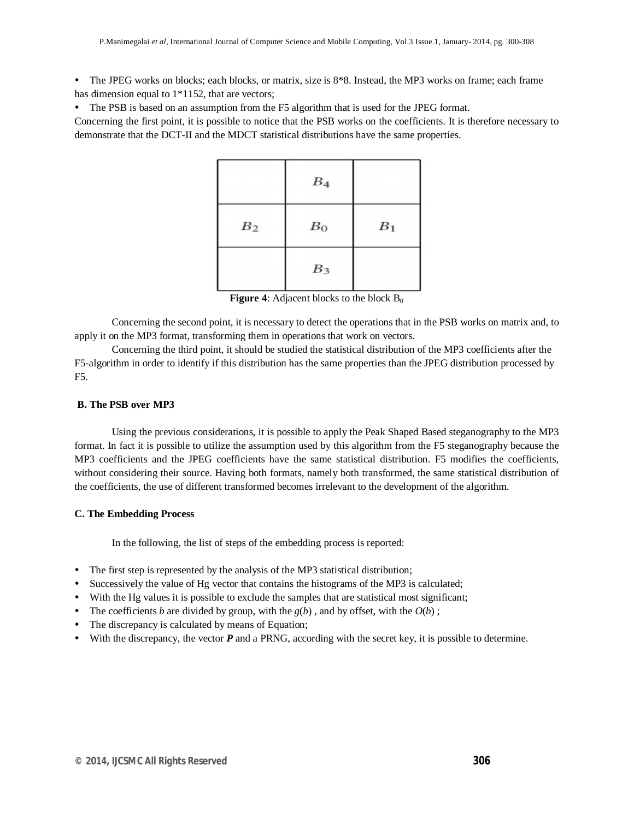- $\bullet$  The JPEG works on blocks; each blocks, or matrix, size is  $8*8$ . Instead, the MP3 works on frame; each frame has dimension equal to  $1*1152$ , that are vectors;
- The PSB is based on an assumption from the F5 algorithm that is used for the JPEG format.

Concerning the first point, it is possible to notice that the PSB works on the coefficients. It is therefore necessary to demonstrate that the DCT-II and the MDCT statistical distributions have the same properties.

|                | $B_4$ |                |
|----------------|-------|----------------|
| B <sub>2</sub> | $B_0$ | B <sub>1</sub> |
|                | $B_3$ |                |

**Figure 4**: Adjacent blocks to the block  $B_0$ 

Concerning the second point, it is necessary to detect the operations that in the PSB works on matrix and, to apply it on the MP3 format, transforming them in operations that work on vectors.

Concerning the third point, it should be studied the statistical distribution of the MP3 coefficients after the F5-algorithm in order to identify if this distribution has the same properties than the JPEG distribution processed by F5.

# **B. The PSB over MP3**

Using the previous considerations, it is possible to apply the Peak Shaped Based steganography to the MP3 format. In fact it is possible to utilize the assumption used by this algorithm from the F5 steganography because the MP3 coefficients and the JPEG coefficients have the same statistical distribution. F5 modifies the coefficients, without considering their source. Having both formats, namely both transformed, the same statistical distribution of the coefficients, the use of different transformed becomes irrelevant to the development of the algorithm.

# **C. The Embedding Process**

In the following, the list of steps of the embedding process is reported:

- The first step is represented by the analysis of the MP3 statistical distribution;
- Successively the value of Hg vector that contains the histograms of the MP3 is calculated;
- With the Hg values it is possible to exclude the samples that are statistical most significant;
- The coefficients *b* are divided by group, with the  $g(b)$ , and by offset, with the  $O(b)$ ;
- The discrepancy is calculated by means of Equation;
- $\bullet$  With the discrepancy, the vector  $P$  and a PRNG, according with the secret key, it is possible to determine.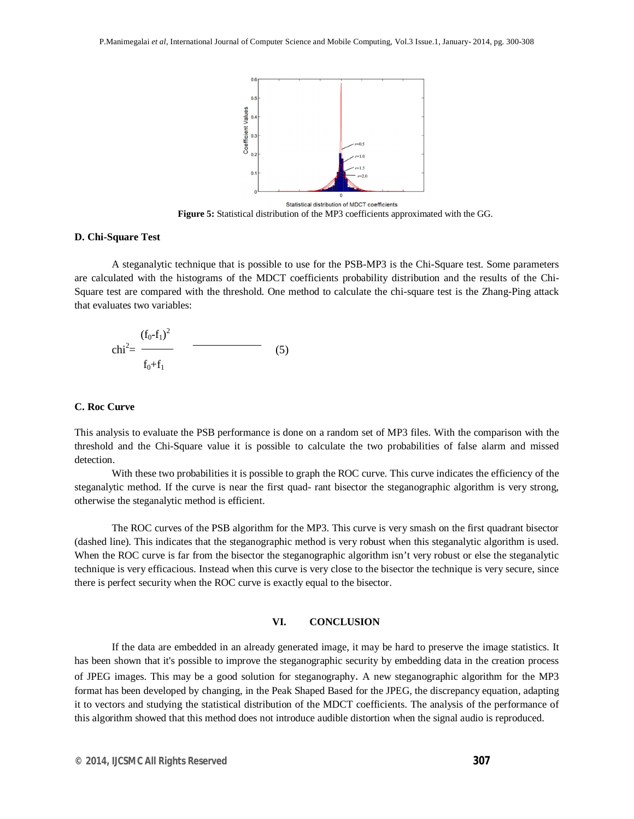

Statistical distribution of MDCT coefficients **Figure 5:** Statistical distribution of the MP3 coefficients approximated with the GG.

## **D. Chi-Square Test**

A steganalytic technique that is possible to use for the PSB-MP3 is the Chi-Square test. Some parameters are calculated with the histograms of the MDCT coefficients probability distribution and the results of the Chi-Square test are compared with the threshold. One method to calculate the chi-square test is the Zhang-Ping attack that evaluates two variables:

$$
chi^{2} = \frac{(f_0 - f_1)^2}{f_0 + f_1}
$$
 (5)

## **C. Roc Curve**

This analysis to evaluate the PSB performance is done on a random set of MP3 files. With the comparison with the threshold and the Chi-Square value it is possible to calculate the two probabilities of false alarm and missed detection.

With these two probabilities it is possible to graph the ROC curve. This curve indicates the efficiency of the steganalytic method. If the curve is near the first quad- rant bisector the steganographic algorithm is very strong, otherwise the steganalytic method is efficient.

The ROC curves of the PSB algorithm for the MP3. This curve is very smash on the first quadrant bisector (dashed line). This indicates that the steganographic method is very robust when this steganalytic algorithm is used. When the ROC curve is far from the bisector the steganographic algorithm isn't very robust or else the steganalytic technique is very efficacious. Instead when this curve is very close to the bisector the technique is very secure, since there is perfect security when the ROC curve is exactly equal to the bisector.

# **VI. CONCLUSION**

If the data are embedded in an already generated image, it may be hard to preserve the image statistics. It has been shown that it's possible to improve the steganographic security by embedding data in the creation process of JPEG images. This may be a good solution for steganography. A new steganographic algorithm for the MP3 format has been developed by changing, in the Peak Shaped Based for the JPEG, the discrepancy equation, adapting it to vectors and studying the statistical distribution of the MDCT coefficients. The analysis of the performance of this algorithm showed that this method does not introduce audible distortion when the signal audio is reproduced.